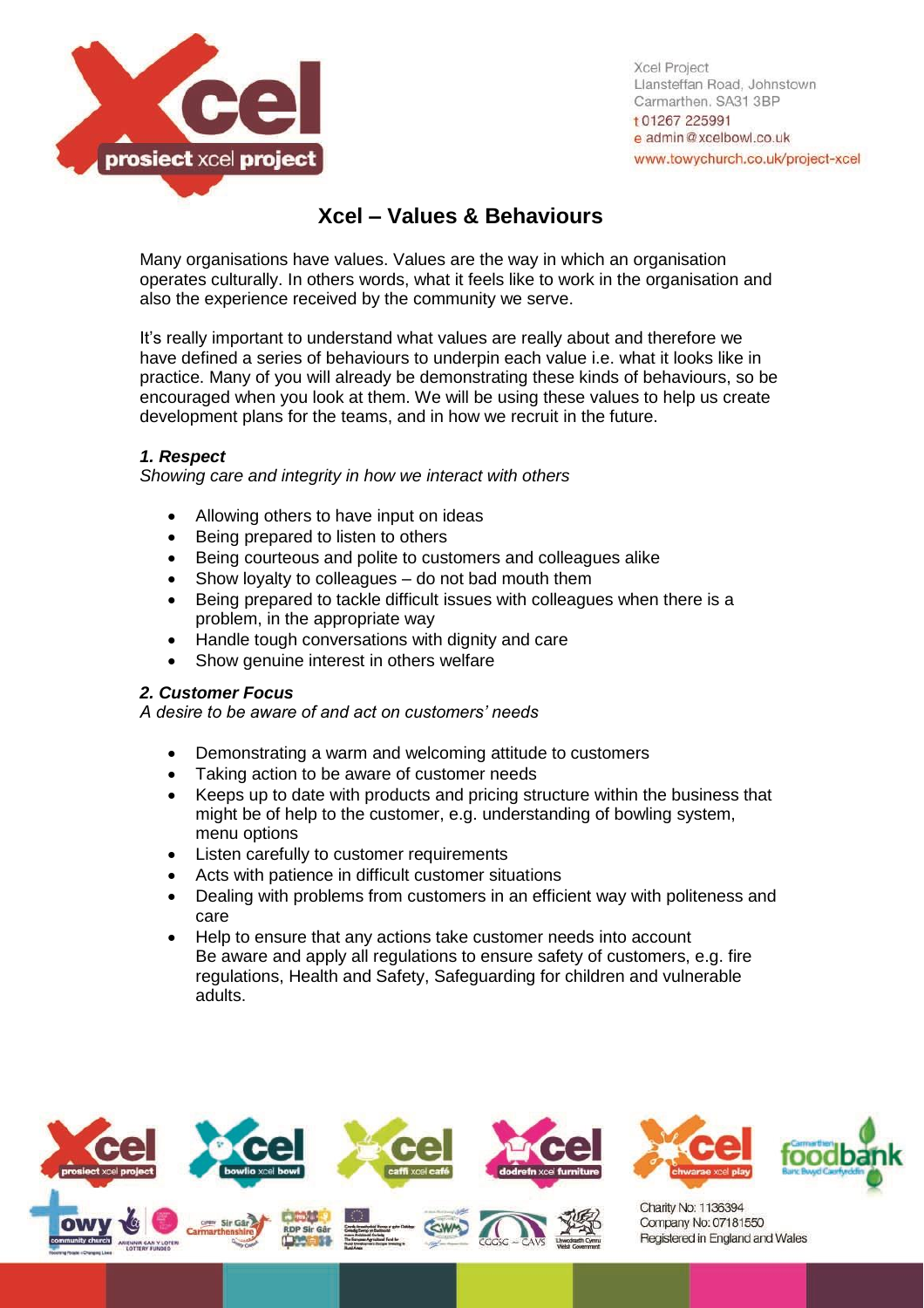

**Xcel Project** Llansteffan Road, Johnstown Carmarthen, SA31 3BP t 01267 225991 e admin@xcelbowl.co.uk www.towychurch.co.uk/project-xcel

# **Xcel – Values & Behaviours**

Many organisations have values. Values are the way in which an organisation operates culturally. In others words, what it feels like to work in the organisation and also the experience received by the community we serve.

It's really important to understand what values are really about and therefore we have defined a series of behaviours to underpin each value i.e. what it looks like in practice. Many of you will already be demonstrating these kinds of behaviours, so be encouraged when you look at them. We will be using these values to help us create development plans for the teams, and in how we recruit in the future.

# *1. Respect*

*Showing care and integrity in how we interact with others*

- Allowing others to have input on ideas
- Being prepared to listen to others
- Being courteous and polite to customers and colleagues alike
- Show loyalty to colleagues do not bad mouth them
- Being prepared to tackle difficult issues with colleagues when there is a problem, in the appropriate way
- Handle tough conversations with dignity and care
- Show genuine interest in others welfare

#### *2. Customer Focus*

*A desire to be aware of and act on customers' needs* 

- Demonstrating a warm and welcoming attitude to customers
- Taking action to be aware of customer needs
- Keeps up to date with products and pricing structure within the business that might be of help to the customer, e.g. understanding of bowling system, menu options
- Listen carefully to customer requirements
- Acts with patience in difficult customer situations
- Dealing with problems from customers in an efficient way with politeness and care
- Help to ensure that any actions take customer needs into account Be aware and apply all regulations to ensure safety of customers, e.g. fire regulations, Health and Safety, Safeguarding for children and vulnerable adults.

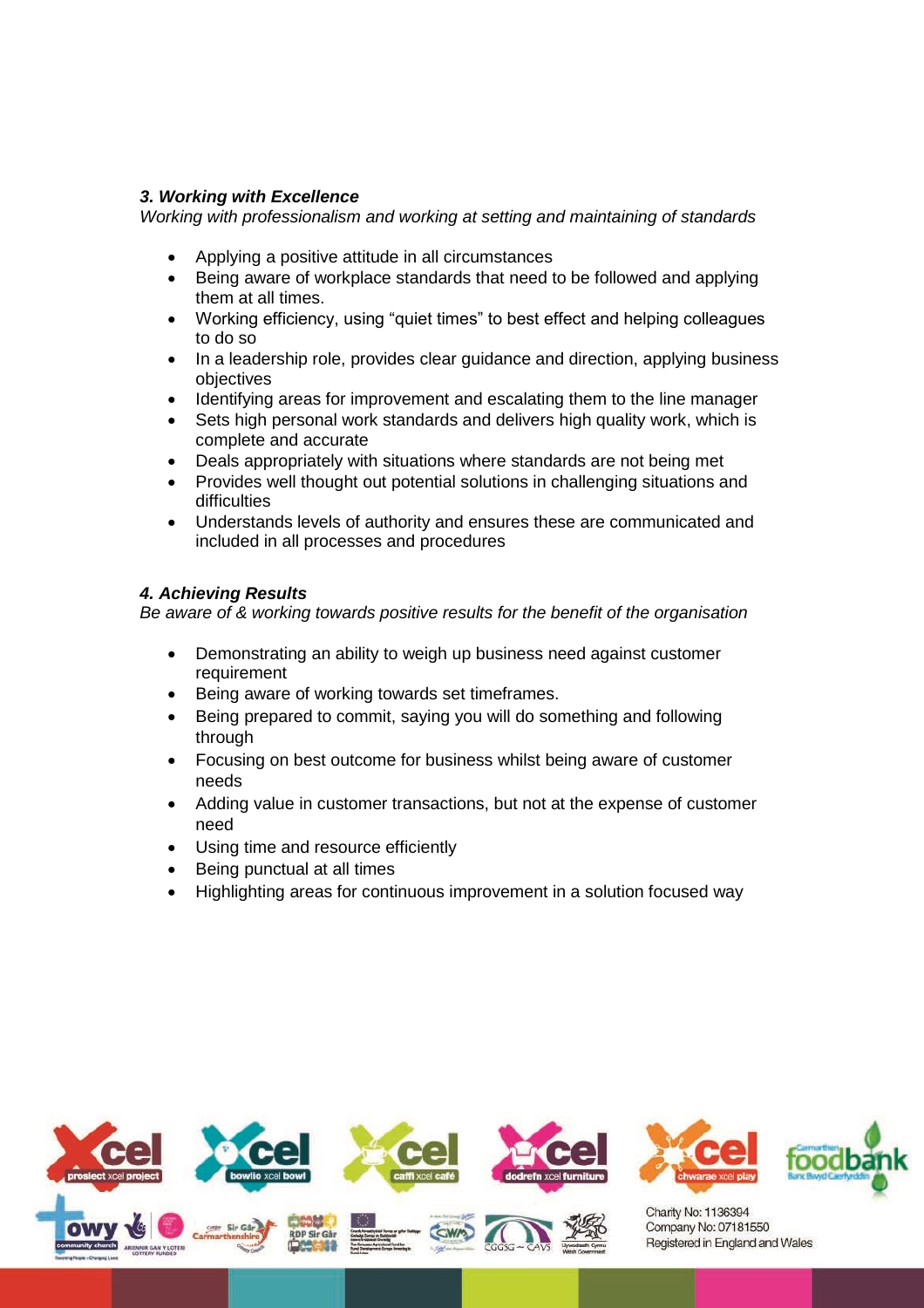### *3. Working with Excellence*

*Working with professionalism and working at setting and maintaining of standards*

- Applying a positive attitude in all circumstances
- Being aware of workplace standards that need to be followed and applying them at all times.
- Working efficiency, using "quiet times" to best effect and helping colleagues to do so
- In a leadership role, provides clear guidance and direction, applying business objectives
- Identifying areas for improvement and escalating them to the line manager
- Sets high personal work standards and delivers high quality work, which is complete and accurate
- Deals appropriately with situations where standards are not being met
- Provides well thought out potential solutions in challenging situations and difficulties
- Understands levels of authority and ensures these are communicated and included in all processes and procedures

# *4. Achieving Results*

*Be aware of & working towards positive results for the benefit of the organisation* 

- Demonstrating an ability to weigh up business need against customer requirement
- Being aware of working towards set timeframes.
- Being prepared to commit, saying you will do something and following through
- Focusing on best outcome for business whilst being aware of customer needs
- Adding value in customer transactions, but not at the expense of customer need
- Using time and resource efficiently
- Being punctual at all times
- Highlighting areas for continuous improvement in a solution focused way